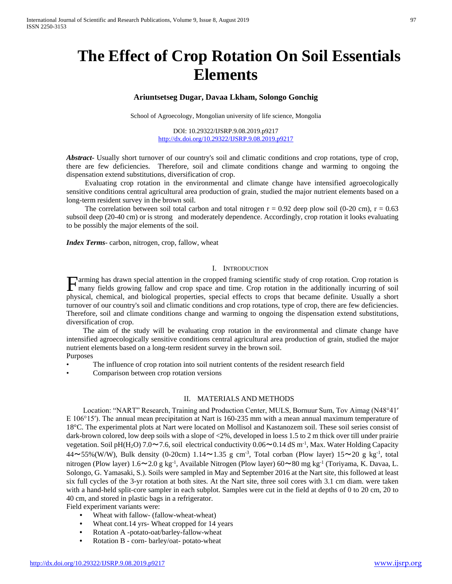# **The Effect of Crop Rotation On Soil Essentials Elements**

## **Ariuntsetseg Dugar, Davaa Lkham, Solongo Gonchig**

School of Agroecology, Mongolian university of life science, Mongolia

DOI: 10.29322/IJSRP.9.08.2019.p9217 <http://dx.doi.org/10.29322/IJSRP.9.08.2019.p9217>

*Abstract***-** Usually short turnover of our country's soil and climatic conditions and crop rotations, type of crop, there are few deficiencies. Therefore, soil and climate conditions change and warming to ongoing the dispensation extend substitutions, diversification of crop.

 Evaluating crop rotation in the environmental and climate change have intensified agroecologically sensitive conditions central agricultural area production of grain, studied the major nutrient elements based on a long-term resident survey in the brown soil.

The correlation between soil total carbon and total nitrogen  $r = 0.92$  deep plow soil (0-20 cm),  $r = 0.63$ subsoil deep (20-40 cm) or is strong and moderately dependence. Accordingly, crop rotation it looks evaluating to be possibly the major elements of the soil.

*Index Terms*- carbon, nitrogen, crop, fallow, wheat

#### I. INTRODUCTION

arming has drawn special attention in the cropped framing scientific study of crop rotation. Crop rotation is many fields growing fallow and crop space and time. Crop rotation in the additionally incurring of soil Farming has drawn special attention in the cropped framing scientific study of crop rotation. Crop rotation is many fields growing fallow and crop space and time. Crop rotation in the additionally incurring of soil physica turnover of our country's soil and climatic conditions and crop rotations, type of crop, there are few deficiencies. Therefore, soil and climate conditions change and warming to ongoing the dispensation extend substitutions, diversification of crop.

 The aim of the study will be evaluating crop rotation in the environmental and climate change have intensified agroecologically sensitive conditions central agricultural area production of grain, studied the major nutrient elements based on a long-term resident survey in the brown soil.

- Purposes
- The influence of crop rotation into soil nutrient contents of the resident research field
- Comparison between crop rotation versions

#### II. MATERIALS AND METHODS

 Location: "NART" Research, Training and Production Center, MULS, Bornuur Sum, Tov Aimag (N48°41′ E 106°15′). The annual mean precipitation at Nart is 160-235 mm with a mean annual maximum temperature of 18°C. The experimental plots at Nart were located on Mollisol and Kastanozem soil. These soil series consist of dark-brown colored, low deep soils with a slope of <2%, developed in loess 1.5 to 2 m thick over till under prairie vegetation. Soil pH(H<sub>2</sub>O) 7.0~7.6, soil electrical conductivity  $0.06 \sim 0.14$  dS m<sup>-1</sup>, Max. Water Holding Capacity  $44 \sim 55\%$  (W/W), Bulk density (0-20cm) 1.14 $\sim$ 1.35 g cm<sup>-3</sup>, Total corban (Plow layer) 15 $\sim$ 20 g kg<sup>-1</sup>, total nitrogen (Plow layer) 1.6~2.0 g kg<sup>-1</sup>, Available Nitrogen (Plow layer) 60~80 mg kg<sup>-1</sup> (Toriyama, K. Davaa, L. Solongo, G. Yamasaki, S.). Soils were sampled in May and September 2016 at the Nart site, this followed at least six full cycles of the 3-yr rotation at both sites. At the Nart site, three soil cores with 3.1 cm diam. were taken with a hand-held split-core sampler in each subplot. Samples were cut in the field at depths of 0 to 20 cm, 20 to 40 cm, and stored in plastic bags in a refrigerator.

Field experiment variants were:

- Wheat with fallow- (fallow-wheat-wheat)
- Wheat cont.14 yrs- Wheat cropped for 14 years
- Rotation A -potato-oat/barley-fallow-wheat
- Rotation B corn- barley/oat- potato-wheat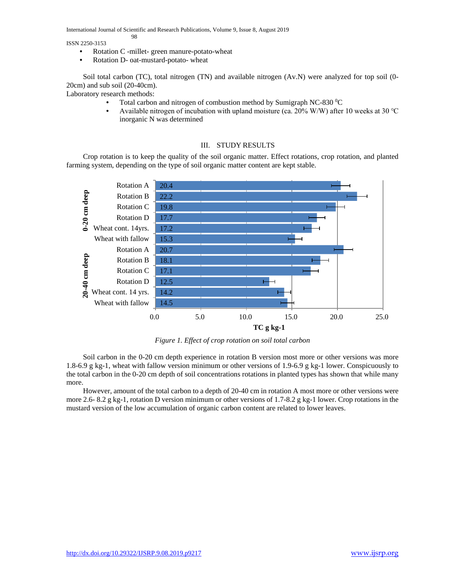International Journal of Scientific and Research Publications, Volume 9, Issue 8, August 2019

ISSN 2250-3153

- Rotation C -millet- green manure-potato-wheat
- Rotation D- oat-mustard-potato- wheat

98

 Soil total carbon (TC), total nitrogen (TN) and available nitrogen (Av.N) were analyzed for top soil (0- 20cm) and sub soil (20-40cm).

Laboratory research methods:

- Total carbon and nitrogen of combustion method by Sumigraph NC-830 °C
- Available nitrogen of incubation with upland moisture (ca. 20% W/W) after 10 weeks at 30 ℃ inorganic N was determined

## III. STUDY RESULTS

 Crop rotation is to keep the quality of the soil organic matter. Effect rotations, crop rotation, and planted farming system, depending on the type of soil organic matter content are kept stable.



*Figure 1. Effect of crop rotation on soil total carbon*

 Soil carbon in the 0-20 cm depth experience in rotation B version most more or other versions was more 1.8-6.9 g kg-1, wheat with fallow version minimum or other versions of 1.9-6.9 g kg-1 lower. Conspicuously to the total carbon in the 0-20 cm depth of soil concentrations rotations in planted types has shown that while many more.

 However, amount of the total carbon to a depth of 20-40 cm in rotation A most more or other versions were more 2.6- 8.2 g kg-1, rotation D version minimum or other versions of 1.7-8.2 g kg-1 lower. Crop rotations in the mustard version of the low accumulation of organic carbon content are related to lower leaves.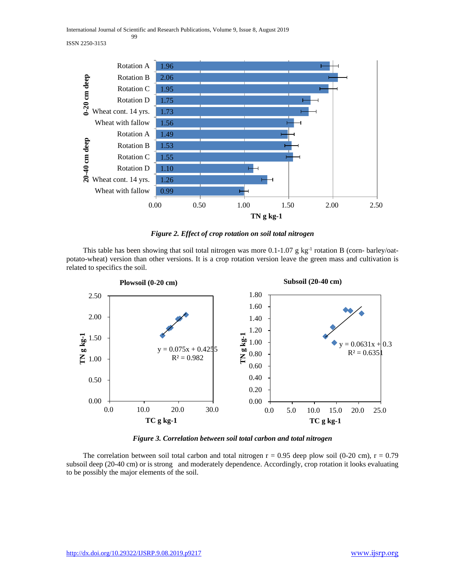International Journal of Scientific and Research Publications, Volume 9, Issue 8, August 2019 99





*Figure 2. Effect of crop rotation on soil total nitrogen*

This table has been showing that soil total nitrogen was more 0.1-1.07 g kg<sup>-1</sup> rotation B (corn- barley/oatpotato-wheat) version than other versions. It is a crop rotation version leave the green mass and cultivation is related to specifics the soil.



*Figure 3. Correlation between soil total carbon and total nitrogen*

The correlation between soil total carbon and total nitrogen  $r = 0.95$  deep plow soil (0-20 cm),  $r = 0.79$ subsoil deep (20-40 cm) or is strong and moderately dependence. Accordingly, crop rotation it looks evaluating to be possibly the major elements of the soil.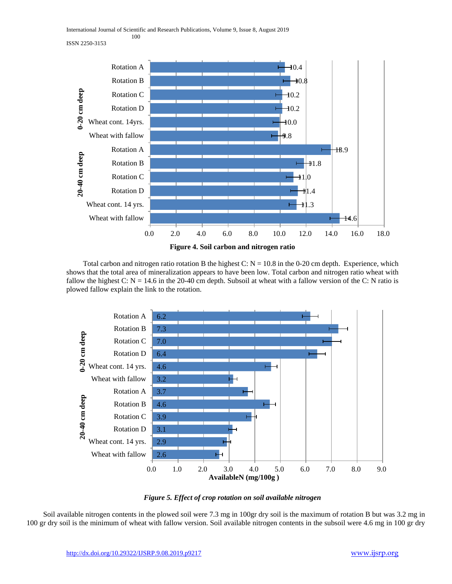International Journal of Scientific and Research Publications, Volume 9, Issue 8, August 2019 100

ISSN 2250-3153



Total carbon and nitrogen ratio rotation B the highest C:  $N = 10.8$  in the 0-20 cm depth. Experience, which shows that the total area of mineralization appears to have been low. Total carbon and nitrogen ratio wheat with fallow the highest C:  $N = 14.6$  in the 20-40 cm depth. Subsoil at wheat with a fallow version of the C: N ratio is plowed fallow explain the link to the rotation.



## *Figure 5. Effect of crop rotation on soil available nitrogen*

 Soil available nitrogen contents in the plowed soil were 7.3 mg in 100gr dry soil is the maximum of rotation B but was 3.2 mg in 100 gr dry soil is the minimum of wheat with fallow version. Soil available nitrogen contents in the subsoil were 4.6 mg in 100 gr dry